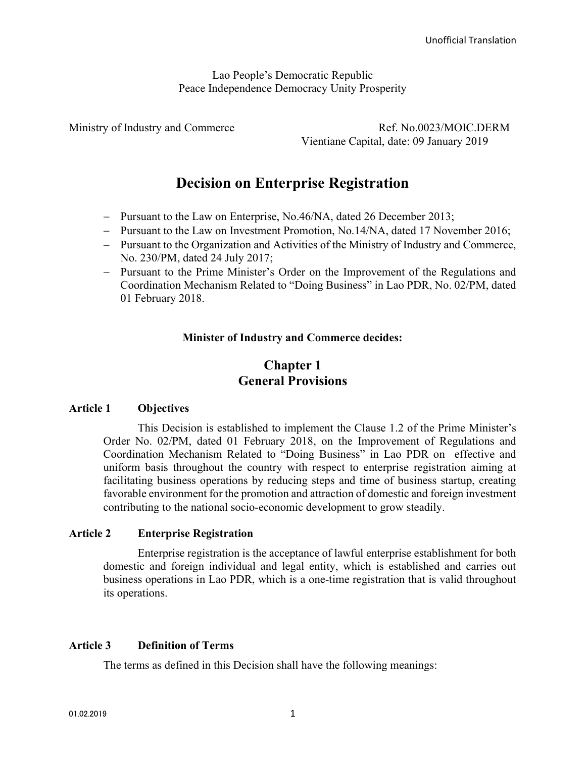Lao People's Democratic Republic Peace Independence Democracy Unity Prosperity

Ministry of Industry and Commerce Ref. No.0023/MOIC.DERM Vientiane Capital, date: 09 January 2019

# Decision on Enterprise Registration

- Pursuant to the Law on Enterprise, No.46/NA, dated 26 December 2013;
- Pursuant to the Law on Investment Promotion, No.14/NA, dated 17 November 2016;
- Pursuant to the Organization and Activities of the Ministry of Industry and Commerce, No. 230/PM, dated 24 July 2017;
- Pursuant to the Prime Minister's Order on the Improvement of the Regulations and Coordination Mechanism Related to "Doing Business" in Lao PDR, No. 02/PM, dated 01 February 2018.

### Minister of Industry and Commerce decides:

# Chapter 1 General Provisions

#### Article 1 Objectives

This Decision is established to implement the Clause 1.2 of the Prime Minister's Order No. 02/PM, dated 01 February 2018, on the Improvement of Regulations and Coordination Mechanism Related to "Doing Business" in Lao PDR on effective and uniform basis throughout the country with respect to enterprise registration aiming at facilitating business operations by reducing steps and time of business startup, creating favorable environment for the promotion and attraction of domestic and foreign investment contributing to the national socio-economic development to grow steadily.

#### Article 2 Enterprise Registration

Enterprise registration is the acceptance of lawful enterprise establishment for both domestic and foreign individual and legal entity, which is established and carries out business operations in Lao PDR, which is a one-time registration that is valid throughout its operations.

# Article 3 Definition of Terms

The terms as defined in this Decision shall have the following meanings: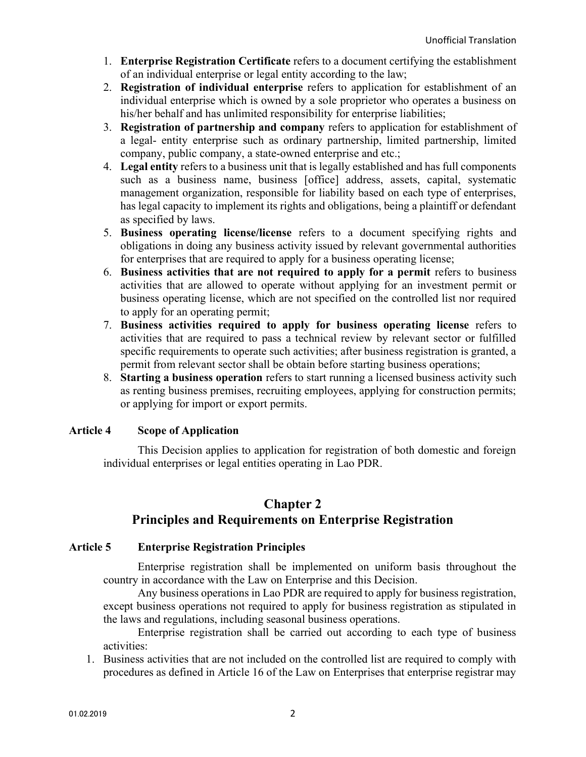- 1. Enterprise Registration Certificate refers to a document certifying the establishment of an individual enterprise or legal entity according to the law;
- 2. Registration of individual enterprise refers to application for establishment of an individual enterprise which is owned by a sole proprietor who operates a business on his/her behalf and has unlimited responsibility for enterprise liabilities;
- 3. Registration of partnership and company refers to application for establishment of a legal- entity enterprise such as ordinary partnership, limited partnership, limited company, public company, a state-owned enterprise and etc.;
- 4. Legal entity refers to a business unit that is legally established and has full components such as a business name, business [office] address, assets, capital, systematic management organization, responsible for liability based on each type of enterprises, has legal capacity to implement its rights and obligations, being a plaintiff or defendant as specified by laws.
- 5. Business operating license/license refers to a document specifying rights and obligations in doing any business activity issued by relevant governmental authorities for enterprises that are required to apply for a business operating license;
- 6. Business activities that are not required to apply for a permit refers to business activities that are allowed to operate without applying for an investment permit or business operating license, which are not specified on the controlled list nor required to apply for an operating permit;
- 7. Business activities required to apply for business operating license refers to activities that are required to pass a technical review by relevant sector or fulfilled specific requirements to operate such activities; after business registration is granted, a permit from relevant sector shall be obtain before starting business operations;
- 8. Starting a business operation refers to start running a licensed business activity such as renting business premises, recruiting employees, applying for construction permits; or applying for import or export permits.

# Article 4 Scope of Application

This Decision applies to application for registration of both domestic and foreign individual enterprises or legal entities operating in Lao PDR.

# Chapter 2

# Principles and Requirements on Enterprise Registration

# Article 5 Enterprise Registration Principles

Enterprise registration shall be implemented on uniform basis throughout the country in accordance with the Law on Enterprise and this Decision.

Any business operations in Lao PDR are required to apply for business registration, except business operations not required to apply for business registration as stipulated in the laws and regulations, including seasonal business operations.

Enterprise registration shall be carried out according to each type of business activities:

1. Business activities that are not included on the controlled list are required to comply with procedures as defined in Article 16 of the Law on Enterprises that enterprise registrar may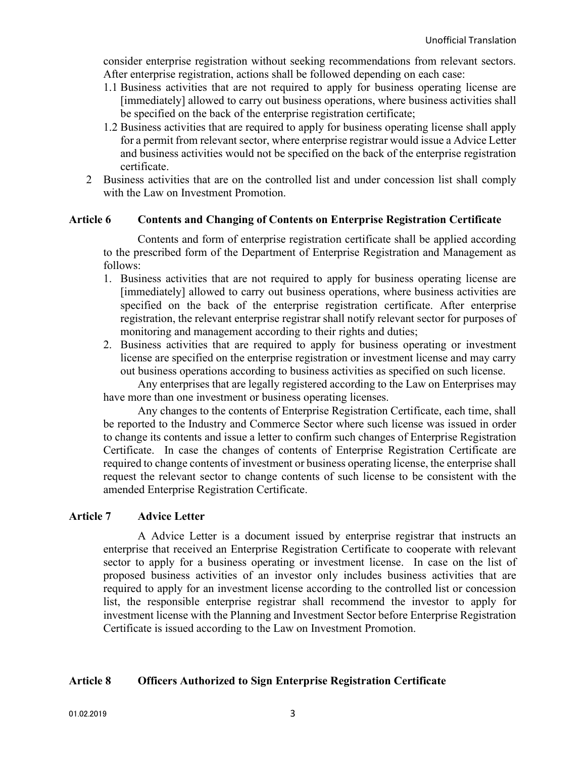consider enterprise registration without seeking recommendations from relevant sectors. After enterprise registration, actions shall be followed depending on each case:

- 1.1 Business activities that are not required to apply for business operating license are [immediately] allowed to carry out business operations, where business activities shall be specified on the back of the enterprise registration certificate;
- 1.2 Business activities that are required to apply for business operating license shall apply for a permit from relevant sector, where enterprise registrar would issue a Advice Letter and business activities would not be specified on the back of the enterprise registration certificate.
- 2 Business activities that are on the controlled list and under concession list shall comply with the Law on Investment Promotion.

# Article 6 Contents and Changing of Contents on Enterprise Registration Certificate

Contents and form of enterprise registration certificate shall be applied according to the prescribed form of the Department of Enterprise Registration and Management as follows:

- 1. Business activities that are not required to apply for business operating license are [immediately] allowed to carry out business operations, where business activities are specified on the back of the enterprise registration certificate. After enterprise registration, the relevant enterprise registrar shall notify relevant sector for purposes of monitoring and management according to their rights and duties;
- 2. Business activities that are required to apply for business operating or investment license are specified on the enterprise registration or investment license and may carry out business operations according to business activities as specified on such license.

Any enterprises that are legally registered according to the Law on Enterprises may have more than one investment or business operating licenses.

Any changes to the contents of Enterprise Registration Certificate, each time, shall be reported to the Industry and Commerce Sector where such license was issued in order to change its contents and issue a letter to confirm such changes of Enterprise Registration Certificate. In case the changes of contents of Enterprise Registration Certificate are required to change contents of investment or business operating license, the enterprise shall request the relevant sector to change contents of such license to be consistent with the amended Enterprise Registration Certificate.

# Article 7 Advice Letter

A Advice Letter is a document issued by enterprise registrar that instructs an enterprise that received an Enterprise Registration Certificate to cooperate with relevant sector to apply for a business operating or investment license. In case on the list of proposed business activities of an investor only includes business activities that are required to apply for an investment license according to the controlled list or concession list, the responsible enterprise registrar shall recommend the investor to apply for investment license with the Planning and Investment Sector before Enterprise Registration Certificate is issued according to the Law on Investment Promotion.

# Article 8 Officers Authorized to Sign Enterprise Registration Certificate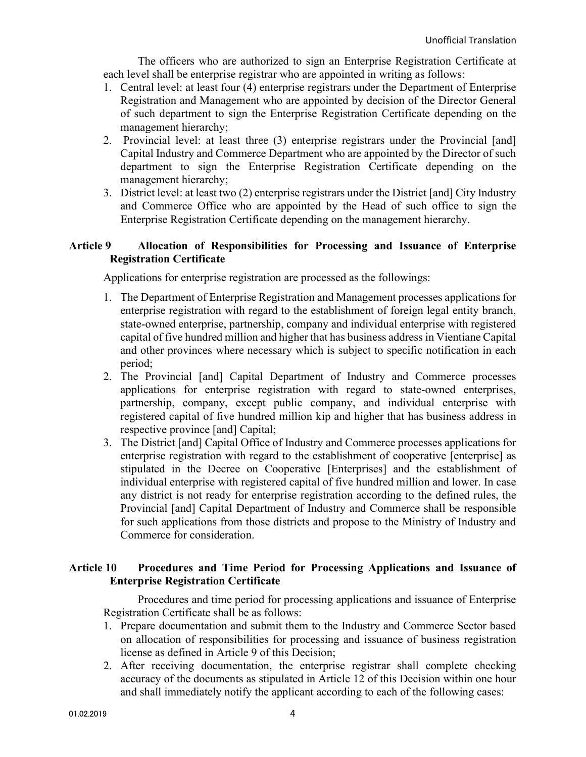The officers who are authorized to sign an Enterprise Registration Certificate at each level shall be enterprise registrar who are appointed in writing as follows:

- 1. Central level: at least four (4) enterprise registrars under the Department of Enterprise Registration and Management who are appointed by decision of the Director General of such department to sign the Enterprise Registration Certificate depending on the management hierarchy;
- 2. Provincial level: at least three (3) enterprise registrars under the Provincial [and] Capital Industry and Commerce Department who are appointed by the Director of such department to sign the Enterprise Registration Certificate depending on the management hierarchy;
- 3. District level: at least two (2) enterprise registrars under the District [and] City Industry and Commerce Office who are appointed by the Head of such office to sign the Enterprise Registration Certificate depending on the management hierarchy.

### Article 9 Allocation of Responsibilities for Processing and Issuance of Enterprise Registration Certificate

Applications for enterprise registration are processed as the followings:

- 1. The Department of Enterprise Registration and Management processes applications for enterprise registration with regard to the establishment of foreign legal entity branch, state-owned enterprise, partnership, company and individual enterprise with registered capital of five hundred million and higher that has business address in Vientiane Capital and other provinces where necessary which is subject to specific notification in each period;
- 2. The Provincial [and] Capital Department of Industry and Commerce processes applications for enterprise registration with regard to state-owned enterprises, partnership, company, except public company, and individual enterprise with registered capital of five hundred million kip and higher that has business address in respective province [and] Capital;
- 3. The District [and] Capital Office of Industry and Commerce processes applications for enterprise registration with regard to the establishment of cooperative [enterprise] as stipulated in the Decree on Cooperative [Enterprises] and the establishment of individual enterprise with registered capital of five hundred million and lower. In case any district is not ready for enterprise registration according to the defined rules, the Provincial [and] Capital Department of Industry and Commerce shall be responsible for such applications from those districts and propose to the Ministry of Industry and Commerce for consideration.

# Article 10 Procedures and Time Period for Processing Applications and Issuance of Enterprise Registration Certificate

Procedures and time period for processing applications and issuance of Enterprise Registration Certificate shall be as follows:

- 1. Prepare documentation and submit them to the Industry and Commerce Sector based on allocation of responsibilities for processing and issuance of business registration license as defined in Article 9 of this Decision;
- 2. After receiving documentation, the enterprise registrar shall complete checking accuracy of the documents as stipulated in Article 12 of this Decision within one hour and shall immediately notify the applicant according to each of the following cases: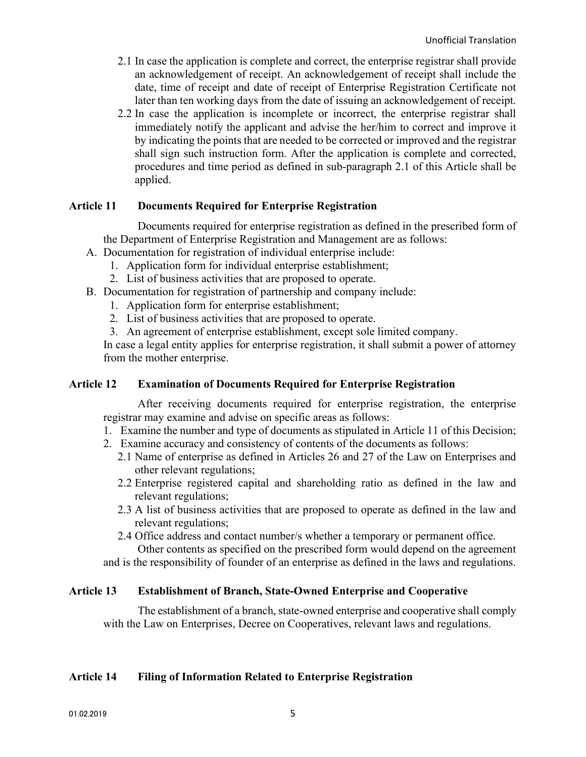- 2.1 In case the application is complete and correct, the enterprise registrar shall provide an acknowledgement of receipt. An acknowledgement of receipt shall include the date, time of receipt and date of receipt of Enterprise Registration Certificate not later than ten working days from the date of issuing an acknowledgement of receipt.
- 2.2 In case the application is incomplete or incorrect, the enterprise registrar shall immediately notify the applicant and advise the her/him to correct and improve it by indicating the points that are needed to be corrected or improved and the registrar shall sign such instruction form. After the application is complete and corrected, procedures and time period as defined in sub-paragraph 2.1 of this Article shall be applied.

### Article 11 Documents Required for Enterprise Registration

Documents required for enterprise registration as defined in the prescribed form of the Department of Enterprise Registration and Management are as follows:

- A. Documentation for registration of individual enterprise include:
	- 1. Application form for individual enterprise establishment;
	- 2. List of business activities that are proposed to operate.
- B. Documentation for registration of partnership and company include:
	- 1. Application form for enterprise establishment;
	- 2. List of business activities that are proposed to operate.
	- 3. An agreement of enterprise establishment, except sole limited company.

In case a legal entity applies for enterprise registration, it shall submit a power of attorney from the mother enterprise.

### Article 12 Examination of Documents Required for Enterprise Registration

After receiving documents required for enterprise registration, the enterprise registrar may examine and advise on specific areas as follows:

- 1. Examine the number and type of documents as stipulated in Article 11 of this Decision;
- 2. Examine accuracy and consistency of contents of the documents as follows:
	- 2.1 Name of enterprise as defined in Articles 26 and 27 of the Law on Enterprises and other relevant regulations;
	- 2.2 Enterprise registered capital and shareholding ratio as defined in the law and relevant regulations;
	- 2.3 A list of business activities that are proposed to operate as defined in the law and relevant regulations;
	- 2.4 Office address and contact number/s whether a temporary or permanent office. Other contents as specified on the prescribed form would depend on the agreement

and is the responsibility of founder of an enterprise as defined in the laws and regulations.

#### Article 13 Establishment of Branch, State-Owned Enterprise and Cooperative

The establishment of a branch, state-owned enterprise and cooperative shall comply with the Law on Enterprises, Decree on Cooperatives, relevant laws and regulations.

#### Article 14 Filing of Information Related to Enterprise Registration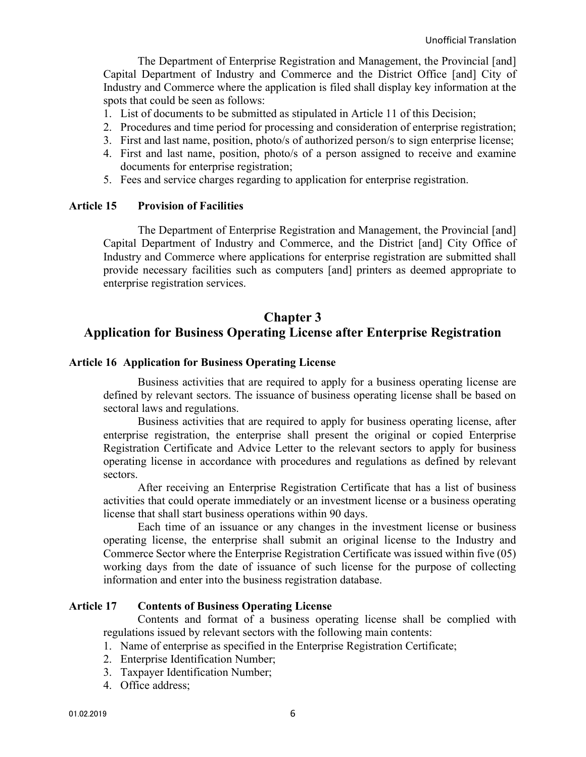The Department of Enterprise Registration and Management, the Provincial [and] Capital Department of Industry and Commerce and the District Office [and] City of Industry and Commerce where the application is filed shall display key information at the spots that could be seen as follows:

- 1. List of documents to be submitted as stipulated in Article 11 of this Decision;
- 2. Procedures and time period for processing and consideration of enterprise registration;
- 3. First and last name, position, photo/s of authorized person/s to sign enterprise license;
- 4. First and last name, position, photo/s of a person assigned to receive and examine documents for enterprise registration;
- 5. Fees and service charges regarding to application for enterprise registration.

#### Article 15 Provision of Facilities

 The Department of Enterprise Registration and Management, the Provincial [and] Capital Department of Industry and Commerce, and the District [and] City Office of Industry and Commerce where applications for enterprise registration are submitted shall provide necessary facilities such as computers [and] printers as deemed appropriate to enterprise registration services.

# Chapter 3 Application for Business Operating License after Enterprise Registration

#### Article 16 Application for Business Operating License

Business activities that are required to apply for a business operating license are defined by relevant sectors. The issuance of business operating license shall be based on sectoral laws and regulations.

Business activities that are required to apply for business operating license, after enterprise registration, the enterprise shall present the original or copied Enterprise Registration Certificate and Advice Letter to the relevant sectors to apply for business operating license in accordance with procedures and regulations as defined by relevant sectors.

After receiving an Enterprise Registration Certificate that has a list of business activities that could operate immediately or an investment license or a business operating license that shall start business operations within 90 days.

Each time of an issuance or any changes in the investment license or business operating license, the enterprise shall submit an original license to the Industry and Commerce Sector where the Enterprise Registration Certificate was issued within five (05) working days from the date of issuance of such license for the purpose of collecting information and enter into the business registration database.

#### Article 17 Contents of Business Operating License

Contents and format of a business operating license shall be complied with regulations issued by relevant sectors with the following main contents:

- 1. Name of enterprise as specified in the Enterprise Registration Certificate;
- 2. Enterprise Identification Number;
- 3. Taxpayer Identification Number;
- 4. Office address;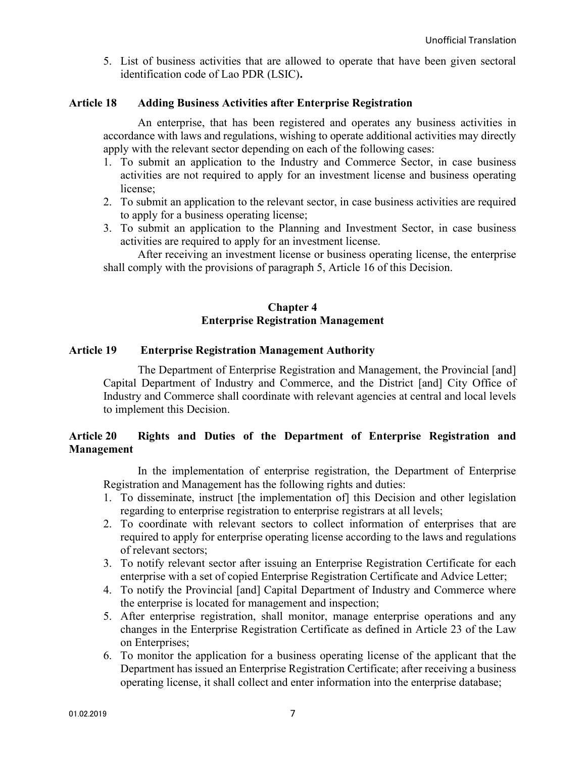5. List of business activities that are allowed to operate that have been given sectoral identification code of Lao PDR (LSIC).

### Article 18 Adding Business Activities after Enterprise Registration

An enterprise, that has been registered and operates any business activities in accordance with laws and regulations, wishing to operate additional activities may directly apply with the relevant sector depending on each of the following cases:

- 1. To submit an application to the Industry and Commerce Sector, in case business activities are not required to apply for an investment license and business operating license;
- 2. To submit an application to the relevant sector, in case business activities are required to apply for a business operating license;
- 3. To submit an application to the Planning and Investment Sector, in case business activities are required to apply for an investment license.

After receiving an investment license or business operating license, the enterprise shall comply with the provisions of paragraph 5, Article 16 of this Decision.

### Chapter 4 Enterprise Registration Management

#### Article 19 Enterprise Registration Management Authority

 The Department of Enterprise Registration and Management, the Provincial [and] Capital Department of Industry and Commerce, and the District [and] City Office of Industry and Commerce shall coordinate with relevant agencies at central and local levels to implement this Decision.

### Article 20 Rights and Duties of the Department of Enterprise Registration and Management

In the implementation of enterprise registration, the Department of Enterprise Registration and Management has the following rights and duties:

- 1. To disseminate, instruct [the implementation of] this Decision and other legislation regarding to enterprise registration to enterprise registrars at all levels;
- 2. To coordinate with relevant sectors to collect information of enterprises that are required to apply for enterprise operating license according to the laws and regulations of relevant sectors;
- 3. To notify relevant sector after issuing an Enterprise Registration Certificate for each enterprise with a set of copied Enterprise Registration Certificate and Advice Letter;
- 4. To notify the Provincial [and] Capital Department of Industry and Commerce where the enterprise is located for management and inspection;
- 5. After enterprise registration, shall monitor, manage enterprise operations and any changes in the Enterprise Registration Certificate as defined in Article 23 of the Law on Enterprises;
- 6. To monitor the application for a business operating license of the applicant that the Department has issued an Enterprise Registration Certificate; after receiving a business operating license, it shall collect and enter information into the enterprise database;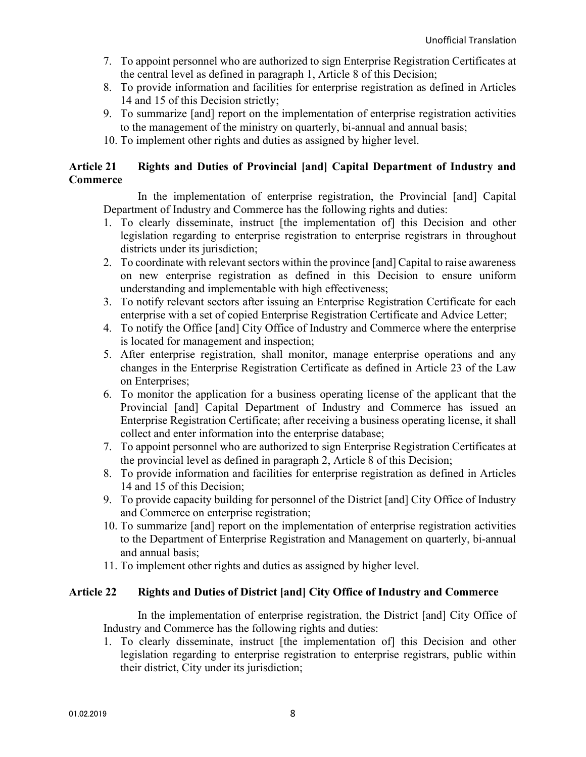- 7. To appoint personnel who are authorized to sign Enterprise Registration Certificates at the central level as defined in paragraph 1, Article 8 of this Decision;
- 8. To provide information and facilities for enterprise registration as defined in Articles 14 and 15 of this Decision strictly;
- 9. To summarize [and] report on the implementation of enterprise registration activities to the management of the ministry on quarterly, bi-annual and annual basis;
- 10. To implement other rights and duties as assigned by higher level.

# Article 21 Rights and Duties of Provincial [and] Capital Department of Industry and **Commerce**

In the implementation of enterprise registration, the Provincial [and] Capital Department of Industry and Commerce has the following rights and duties:

- 1. To clearly disseminate, instruct [the implementation of] this Decision and other legislation regarding to enterprise registration to enterprise registrars in throughout districts under its jurisdiction;
- 2. To coordinate with relevant sectors within the province [and] Capital to raise awareness on new enterprise registration as defined in this Decision to ensure uniform understanding and implementable with high effectiveness;
- 3. To notify relevant sectors after issuing an Enterprise Registration Certificate for each enterprise with a set of copied Enterprise Registration Certificate and Advice Letter;
- 4. To notify the Office [and] City Office of Industry and Commerce where the enterprise is located for management and inspection;
- 5. After enterprise registration, shall monitor, manage enterprise operations and any changes in the Enterprise Registration Certificate as defined in Article 23 of the Law on Enterprises;
- 6. To monitor the application for a business operating license of the applicant that the Provincial [and] Capital Department of Industry and Commerce has issued an Enterprise Registration Certificate; after receiving a business operating license, it shall collect and enter information into the enterprise database;
- 7. To appoint personnel who are authorized to sign Enterprise Registration Certificates at the provincial level as defined in paragraph 2, Article 8 of this Decision;
- 8. To provide information and facilities for enterprise registration as defined in Articles 14 and 15 of this Decision;
- 9. To provide capacity building for personnel of the District [and] City Office of Industry and Commerce on enterprise registration;
- 10. To summarize [and] report on the implementation of enterprise registration activities to the Department of Enterprise Registration and Management on quarterly, bi-annual and annual basis;
- 11. To implement other rights and duties as assigned by higher level.

### Article 22 Rights and Duties of District [and] City Office of Industry and Commerce

In the implementation of enterprise registration, the District [and] City Office of Industry and Commerce has the following rights and duties:

1. To clearly disseminate, instruct [the implementation of] this Decision and other legislation regarding to enterprise registration to enterprise registrars, public within their district, City under its jurisdiction;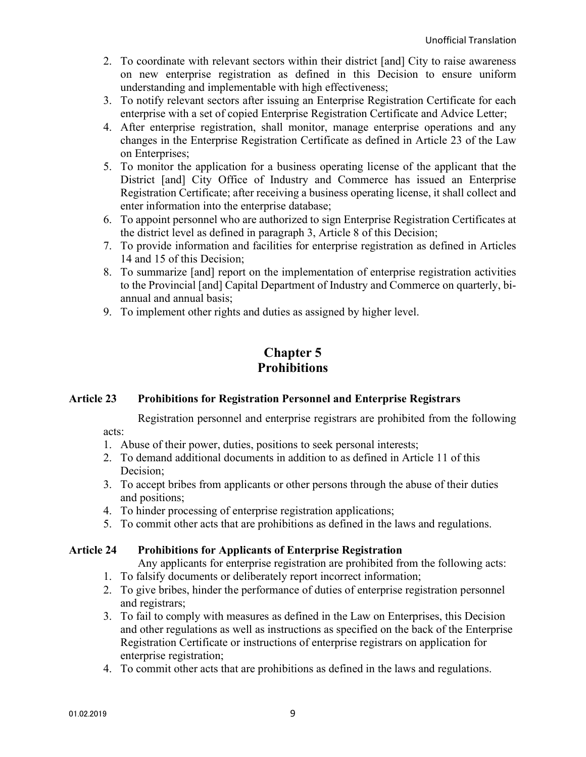- 2. To coordinate with relevant sectors within their district [and] City to raise awareness on new enterprise registration as defined in this Decision to ensure uniform understanding and implementable with high effectiveness;
- 3. To notify relevant sectors after issuing an Enterprise Registration Certificate for each enterprise with a set of copied Enterprise Registration Certificate and Advice Letter;
- 4. After enterprise registration, shall monitor, manage enterprise operations and any changes in the Enterprise Registration Certificate as defined in Article 23 of the Law on Enterprises;
- 5. To monitor the application for a business operating license of the applicant that the District [and] City Office of Industry and Commerce has issued an Enterprise Registration Certificate; after receiving a business operating license, it shall collect and enter information into the enterprise database;
- 6. To appoint personnel who are authorized to sign Enterprise Registration Certificates at the district level as defined in paragraph 3, Article 8 of this Decision;
- 7. To provide information and facilities for enterprise registration as defined in Articles 14 and 15 of this Decision;
- 8. To summarize [and] report on the implementation of enterprise registration activities to the Provincial [and] Capital Department of Industry and Commerce on quarterly, biannual and annual basis;
- 9. To implement other rights and duties as assigned by higher level.

# Chapter 5 **Prohibitions**

# Article 23 Prohibitions for Registration Personnel and Enterprise Registrars

 Registration personnel and enterprise registrars are prohibited from the following acts:

- 1. Abuse of their power, duties, positions to seek personal interests;
- 2. To demand additional documents in addition to as defined in Article 11 of this Decision;
- 3. To accept bribes from applicants or other persons through the abuse of their duties and positions;
- 4. To hinder processing of enterprise registration applications;
- 5. To commit other acts that are prohibitions as defined in the laws and regulations.

# Article 24 Prohibitions for Applicants of Enterprise Registration

Any applicants for enterprise registration are prohibited from the following acts:

- 1. To falsify documents or deliberately report incorrect information;
- 2. To give bribes, hinder the performance of duties of enterprise registration personnel and registrars;
- 3. To fail to comply with measures as defined in the Law on Enterprises, this Decision and other regulations as well as instructions as specified on the back of the Enterprise Registration Certificate or instructions of enterprise registrars on application for enterprise registration;
- 4. To commit other acts that are prohibitions as defined in the laws and regulations.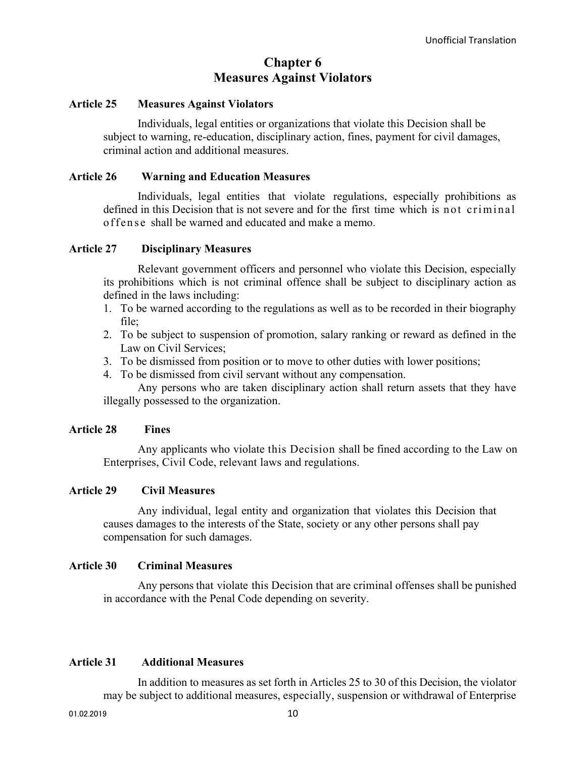# Chapter 6 Measures Against Violators

#### Article 25 Measures Against Violators

Individuals, legal entities or organizations that violate this Decision shall be subject to warning, re-education, disciplinary action, fines, payment for civil damages, criminal action and additional measures.

#### Article 26 Warning and Education Measures

Individuals, legal entities that violate regulations, especially prohibitions as defined in this Decision that is not severe and for the first time which is not criminal offense shall be warned and educated and make a memo.

#### Article 27 Disciplinary Measures

Relevant government officers and personnel who violate this Decision, especially its prohibitions which is not criminal offence shall be subject to disciplinary action as defined in the laws including:

- 1. To be warned according to the regulations as well as to be recorded in their biography file;
- 2. To be subject to suspension of promotion, salary ranking or reward as defined in the Law on Civil Services;
- 3. To be dismissed from position or to move to other duties with lower positions;
- 4. To be dismissed from civil servant without any compensation.

Any persons who are taken disciplinary action shall return assets that they have illegally possessed to the organization.

#### Article 28 Fines

Any applicants who violate this Decision shall be fined according to the Law on Enterprises, Civil Code, relevant laws and regulations.

#### Article 29 Civil Measures

Any individual, legal entity and organization that violates this Decision that causes damages to the interests of the State, society or any other persons shall pay compensation for such damages.

#### Article 30 Criminal Measures

Any persons that violate this Decision that are criminal offenses shall be punished in accordance with the Penal Code depending on severity.

### Article 31 Additional Measures

In addition to measures as set forth in Articles 25 to 30 of this Decision, the violator may be subject to additional measures, especially, suspension or withdrawal of Enterprise